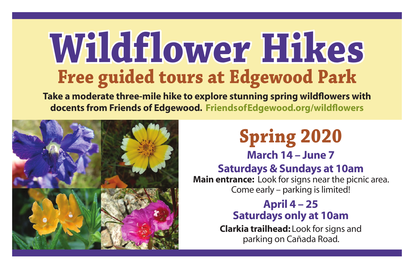# **Free guided tours at Edgewood Park Wildflower Hikes**

**Take a moderate three-mile hike to explore stunning spring wildflowers with docents from Friends of Edgewood. FriendsofEdgewood.org/wildflowers**



## **Spring 2020**

**March 14 – June 7**

#### **Saturdays & Sundays at 10am**

**Main entrance:** Look for signs near the picnic area. Come early – parking is limited!

#### **April 4 – 25 Saturdays only at 10am**

**Clarkia trailhead:** Look for signs and parking on Cañada Road.